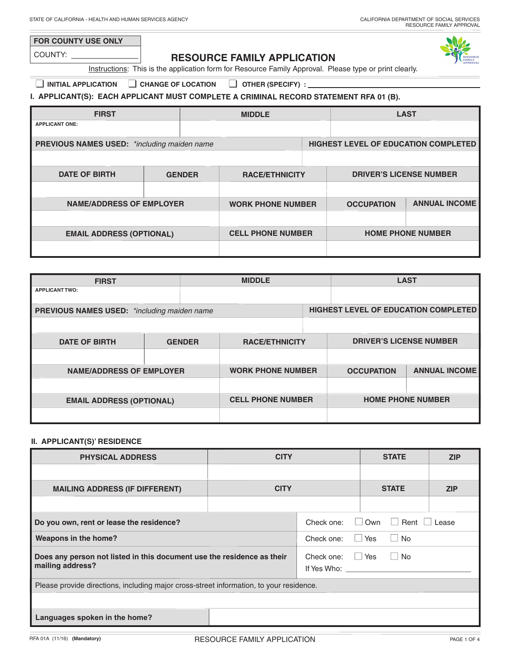# **FOR COUNTY USE ONLY**

COUNTY: \_\_\_\_\_\_\_\_\_\_\_\_\_\_\_\_

# **RESOURCE FAMILY APPLICATION**



Instructions: This is the application form for Resource Family Approval. Please type or print clearly.

# ■ **INITIAL APPLICATION** ■ **CHANGE OF LOCATION** ■ **OTHER (SPECIFY) :**

## **I. APPLICANT(S): EACH APPLICANT MUST COMPLETE A CRIMINAL RECORD STATEMENT RFA 01 (B).**

| <b>FIRST</b>                                       |               | <b>MIDDLE</b>            |                                             | <b>LAST</b>              |
|----------------------------------------------------|---------------|--------------------------|---------------------------------------------|--------------------------|
| <b>APPLICANT ONE:</b>                              |               |                          |                                             |                          |
| <b>PREVIOUS NAMES USED:</b> *including maiden name |               |                          | <b>HIGHEST LEVEL OF EDUCATION COMPLETED</b> |                          |
|                                                    |               |                          |                                             |                          |
| <b>DATE OF BIRTH</b>                               | <b>GENDER</b> | <b>RACE/ETHNICITY</b>    | <b>DRIVER'S LICENSE NUMBER</b>              |                          |
|                                                    |               |                          |                                             |                          |
| <b>NAME/ADDRESS OF EMPLOYER</b>                    |               | <b>WORK PHONE NUMBER</b> | <b>OCCUPATION</b>                           | <b>ANNUAL INCOME</b>     |
|                                                    |               |                          |                                             |                          |
| <b>EMAIL ADDRESS (OPTIONAL)</b>                    |               | <b>CELL PHONE NUMBER</b> |                                             | <b>HOME PHONE NUMBER</b> |
|                                                    |               |                          |                                             |                          |

| <b>FIRST</b>                                       |               | <b>MIDDLE</b>            |                                      | <b>LAST</b>              |
|----------------------------------------------------|---------------|--------------------------|--------------------------------------|--------------------------|
| <b>APPLICANT TWO:</b>                              |               |                          |                                      |                          |
|                                                    |               |                          |                                      |                          |
| <b>PREVIOUS NAMES USED:</b> *including maiden name |               |                          | HIGHEST LEVEL OF EDUCATION COMPLETED |                          |
|                                                    |               |                          |                                      |                          |
| <b>DATE OF BIRTH</b>                               | <b>GENDER</b> | <b>RACE/ETHNICITY</b>    | <b>DRIVER'S LICENSE NUMBER</b>       |                          |
|                                                    |               |                          |                                      |                          |
| <b>NAME/ADDRESS OF EMPLOYER</b>                    |               | <b>WORK PHONE NUMBER</b> | <b>OCCUPATION</b>                    | <b>ANNUAL INCOME</b>     |
|                                                    |               |                          |                                      |                          |
| <b>EMAIL ADDRESS (OPTIONAL)</b>                    |               | <b>CELL PHONE NUMBER</b> |                                      | <b>HOME PHONE NUMBER</b> |
|                                                    |               |                          |                                      |                          |

### **II. APPLICANT(S)' RESIDENCE**

| <b>PHYSICAL ADDRESS</b>                                                                    | <b>CITY</b> |                                       | <b>STATE</b>                      | <b>ZIP</b> |
|--------------------------------------------------------------------------------------------|-------------|---------------------------------------|-----------------------------------|------------|
|                                                                                            |             |                                       |                                   |            |
| <b>MAILING ADDRESS (IF DIFFERENT)</b>                                                      | <b>CITY</b> |                                       | <b>STATE</b>                      | <b>ZIP</b> |
|                                                                                            |             |                                       |                                   |            |
| Do you own, rent or lease the residence?                                                   |             | Check one:<br>$\blacksquare$          | Own<br>Rent<br>$\mathbf{L}$       | Lease      |
| Weapons in the home?                                                                       |             | Check one:                            | <b>No</b><br><b>Yes</b><br>$\Box$ |            |
| Does any person not listed in this document use the residence as their<br>mailing address? |             | Check one:<br>If Yes Who: If Yes Who: | Yes<br><b>No</b><br>$\Box$        |            |
| Please provide directions, including major cross-street information, to your residence.    |             |                                       |                                   |            |
|                                                                                            |             |                                       |                                   |            |
| Languages spoken in the home?                                                              |             |                                       |                                   |            |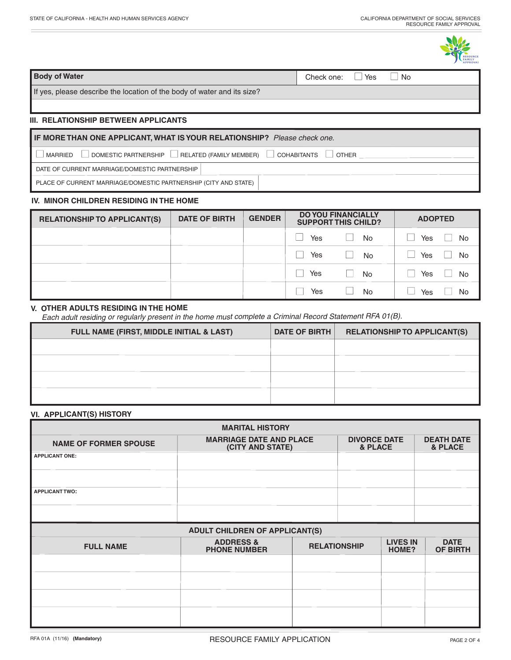### **Body of Water** Check one: ■ Yes ■ No. 2012 0. 2012 0. 2012 0. 2012 0. 2012 0. 2012 0. 2012 0. 2012 0. 2012 0. 2012 0. 2012 0. 2012 0. 2012 0. 2012 0. 2012 0. 2012 0. 2012 0. 2012 0. 2012 0. 2012 0. 2012 0. 2012 0. 2012 0

If yes, please describe the location of the body of water and its size?

### **III. RELATIONSHIP BETWEEN APPLICANTS**

# $\Box$  MARRIED  $\Box$  DOMESTIC PARTNERSHIP  $\Box$  RELATED (FAMILY MEMBER)  $\Box$  COHABITANTS  $\Box$  OTHER **IF MORE THAN ONE APPLICANT, WHAT ISYOUR RELATIONSHIP?** *Please check one.*

DATE OF CURRENT MARRIAGE/DOMESTIC PARTNERSHIP

PLACE OF CURRENT MARRIAGE/DOMESTIC PARTNERSHIP (CITY AND STATE)

#### **IV. MINOR CHILDREN RESIDING IN THE HOME**

| <b>RELATIONSHIP TO APPLICANT(S)</b> | <b>DATE OF BIRTH</b> | <b>GENDER</b> |     | <b>DO YOU FINANCIALLY</b><br><b>SUPPORT THIS CHILD?</b> | <b>ADOPTED</b> |
|-------------------------------------|----------------------|---------------|-----|---------------------------------------------------------|----------------|
|                                     |                      |               | Yes | <b>No</b>                                               | Yes<br>No      |
|                                     |                      |               | Yes | <b>No</b>                                               | Yes<br>No      |
|                                     |                      |               | Yes | No                                                      | Yes<br>No      |
|                                     |                      |               | Yes | No                                                      | No<br>Yes      |

### **V. OTHER ADULTS RESIDING IN THE HOME**

*Each adult residing or regularly present in the home must complete <sup>a</sup> Criminal Record Statement RFA 01(B).*

| FULL NAME (FIRST, MIDDLE INITIAL & LAST) | DATE OF BIRTH | <b>RELATIONSHIP TO APPLICANT(S)</b> |
|------------------------------------------|---------------|-------------------------------------|
|                                          |               |                                     |
|                                          |               |                                     |
|                                          |               |                                     |
|                                          |               |                                     |

#### **VI. APPLICANT(S) HISTORY**

|                              | <b>MARITAL HISTORY</b>                             |                     |                                |                          |                                |
|------------------------------|----------------------------------------------------|---------------------|--------------------------------|--------------------------|--------------------------------|
| <b>NAME OF FORMER SPOUSE</b> | <b>MARRIAGE DATE AND PLACE</b><br>(CITY AND STATE) |                     | <b>DIVORCE DATE</b><br>& PLACE |                          | <b>DEATH DATE</b><br>& PLACE   |
| <b>APPLICANT ONE:</b>        |                                                    |                     |                                |                          |                                |
|                              |                                                    |                     |                                |                          |                                |
| <b>APPLICANT TWO:</b>        |                                                    |                     |                                |                          |                                |
|                              |                                                    |                     |                                |                          |                                |
|                              | <b>ADULT CHILDREN OF APPLICANT(S)</b>              |                     |                                |                          |                                |
| <b>FULL NAME</b>             | <b>ADDRESS &amp;</b><br><b>PHONE NUMBER</b>        | <b>RELATIONSHIP</b> |                                | <b>LIVES IN</b><br>HOME? | <b>DATE</b><br><b>OF BIRTH</b> |
|                              |                                                    |                     |                                |                          |                                |
|                              |                                                    |                     |                                |                          |                                |
|                              |                                                    |                     |                                |                          |                                |
|                              |                                                    |                     |                                |                          |                                |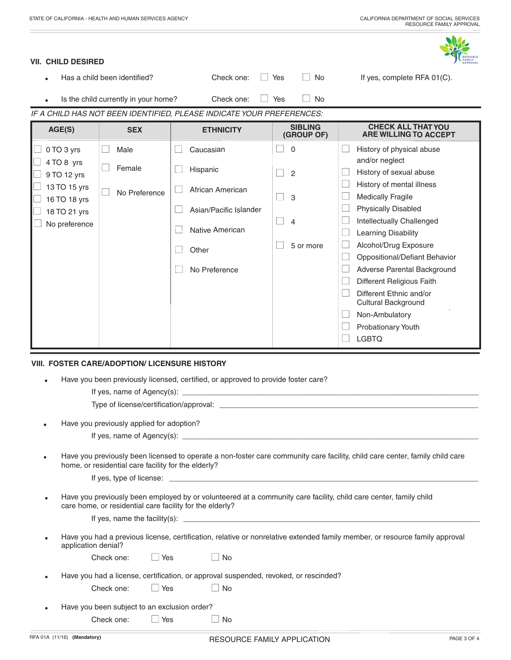

#### **VII. CHILD DESIRED**

| AGE(S) | <b>SEX</b>                           | <b>ETHNICITY</b>                                                      |     | <b>SIBLING</b><br>(CDOIII OF) | <b>CHECK ALL THAT YOU</b><br>ADE WILLING TO ACCEPT |
|--------|--------------------------------------|-----------------------------------------------------------------------|-----|-------------------------------|----------------------------------------------------|
|        |                                      | IF A CHILD HAS NOT BEEN IDENTIFIED, PLEASE INDICATE YOUR PREFERENCES: |     |                               |                                                    |
|        | Is the child currently in your home? | Check one:                                                            | Yes | No.                           |                                                    |
|        | Has a child been identified?         | Check one:                                                            | Yes | No                            | If yes, complete RFA 01(C).                        |

| AGE(S)                       | <b>SEX</b>    | <b>ETHNICITY</b>       | эірцічч<br>(GROUP OF) | UNEUN ALL INAI IUU<br><b>ARE WILLING TO ACCEPT</b>           |
|------------------------------|---------------|------------------------|-----------------------|--------------------------------------------------------------|
| 0 TO 3 yrs                   | Male          | Caucasian              | $\Omega$              | History of physical abuse                                    |
| 4 TO 8 yrs                   | Female        | Hispanic               | $\overline{2}$        | and/or neglect<br>History of sexual abuse                    |
| 9 TO 12 yrs<br>13 TO 15 yrs  | No Preference | African American       |                       | History of mental illness                                    |
| 16 TO 18 yrs<br>18 TO 21 yrs |               | Asian/Pacific Islander | 3                     | <b>Medically Fragile</b><br><b>Physically Disabled</b>       |
| No preference                |               | Native American        | $\overline{4}$        | Intellectually Challenged<br><b>Learning Disability</b>      |
|                              |               | Other                  | 5 or more             | Alcohol/Drug Exposure                                        |
|                              |               | No Preference          |                       | Oppositional/Defiant Behavior<br>Adverse Parental Background |
|                              |               |                        |                       | Different Religious Faith                                    |
|                              |               |                        |                       | Different Ethnic and/or<br>Cultural Background               |
|                              |               |                        |                       | Non-Ambulatory                                               |
|                              |               |                        |                       | Probationary Youth                                           |
|                              |               |                        |                       | <b>LGBTQ</b>                                                 |

#### **VIII. FOSTER CARE/ADOPTION/ LICENSURE HISTORY**

| Have you been previously licensed, certified, or approved to provide foster care? |  |  |  |
|-----------------------------------------------------------------------------------|--|--|--|

Type of license/certification/approval:

Have you previously applied for adoption?

If yes, name of Agency(s):

Have you previously been licensed to operate a non-foster care community care facility, child care center, family child care home, or residential care facility for the elderly?

| If yes<br>tvne<br><b>HCANSA</b><br>.<br>י הו |  |
|----------------------------------------------|--|
|                                              |  |

Have you previously been employed by or volunteered at a community care facility, child care center, family child care home, or residential care facility for the elderly?

| If yes.<br>Пdі |
|----------------|
|----------------|

Have you had a previous license, certification, relative or nonrelative extended family member, or resource family approval application denial?

| $\Box$ No<br>$\Box$ Yes<br>Check one: |  |
|---------------------------------------|--|
|---------------------------------------|--|

Have you had a license, certification, or approval suspended, revoked, or rescinded?

| Check one: | $\Box$ Yes | $\Box$ No |
|------------|------------|-----------|
|            |            |           |

Have you been subject to an exclusion order? Check one: □ Yes □ No